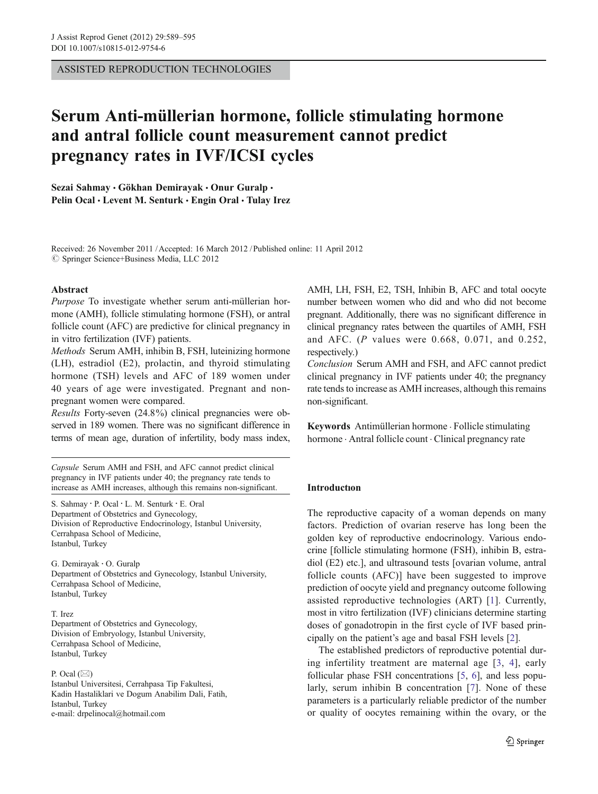ASSISTED REPRODUCTION TECHNOLOGIES

# Serum Anti-müllerian hormone, follicle stimulating hormone and antral follicle count measurement cannot predict pregnancy rates in IVF/ICSI cycles

Sezai Sahmay · Gökhan Demirayak · Onur Guralp · Pelin Ocal · Levent M. Senturk · Engin Oral · Tulay Irez

Received: 26 November 2011 /Accepted: 16 March 2012 / Published online: 11 April 2012  $\oslash$  Springer Science+Business Media, LLC 2012

#### Abstract

Purpose To investigate whether serum anti-müllerian hormone (AMH), follicle stimulating hormone (FSH), or antral follicle count (AFC) are predictive for clinical pregnancy in in vitro fertilization (IVF) patients.

Methods Serum AMH, inhibin B, FSH, luteinizing hormone (LH), estradiol (E2), prolactin, and thyroid stimulating hormone (TSH) levels and AFC of 189 women under 40 years of age were investigated. Pregnant and nonpregnant women were compared.

Results Forty-seven (24.8%) clinical pregnancies were observed in 189 women. There was no significant difference in terms of mean age, duration of infertility, body mass index,

Capsule Serum AMH and FSH, and AFC cannot predict clinical pregnancy in IVF patients under 40; the pregnancy rate tends to increase as AMH increases, although this remains non-significant.

S. Sahmay : P. Ocal : L. M. Senturk : E. Oral Department of Obstetrics and Gynecology, Division of Reproductive Endocrinology, Istanbul University, Cerrahpasa School of Medicine, Istanbul, Turkey

G. Demirayak : O. Guralp Department of Obstetrics and Gynecology, Istanbul University, Cerrahpasa School of Medicine, Istanbul, Turkey

T. Irez Department of Obstetrics and Gynecology, Division of Embryology, Istanbul University, Cerrahpasa School of Medicine, Istanbul, Turkey

P. Ocal  $(\boxtimes)$ 

Istanbul Universitesi, Cerrahpasa Tip Fakultesi, Kadin Hastaliklari ve Dogum Anabilim Dali, Fatih, Istanbul, Turkey e-mail: drpelinocal@hotmail.com

AMH, LH, FSH, E2, TSH, Inhibin B, AFC and total oocyte number between women who did and who did not become pregnant. Additionally, there was no significant difference in clinical pregnancy rates between the quartiles of AMH, FSH and AFC. (P values were 0.668, 0.071, and 0.252, respectively.)

Conclusion Serum AMH and FSH, and AFC cannot predict clinical pregnancy in IVF patients under 40; the pregnancy rate tends to increase as AMH increases, although this remains non-significant.

Keywords Antimüllerian hormone . Follicle stimulating hormone · Antral follicle count · Clinical pregnancy rate

# Introductıon

The reproductive capacity of a woman depends on many factors. Prediction of ovarian reserve has long been the golden key of reproductive endocrinology. Various endocrine [follicle stimulating hormone (FSH), inhibin B, estradiol (E2) etc.], and ultrasound tests [ovarian volume, antral follicle counts (AFC)] have been suggested to improve prediction of oocyte yield and pregnancy outcome following assisted reproductive technologies (ART) [[1](#page-5-0)]. Currently, most in vitro fertilization (IVF) clinicians determine starting doses of gonadotropin in the first cycle of IVF based principally on the patient's age and basal FSH levels [\[2](#page-5-0)].

The established predictors of reproductive potential during infertility treatment are maternal age [[3,](#page-5-0) [4\]](#page-5-0), early follicular phase FSH concentrations [[5,](#page-5-0) [6\]](#page-5-0), and less popularly, serum inhibin B concentration [\[7](#page-5-0)]. None of these parameters is a particularly reliable predictor of the number or quality of oocytes remaining within the ovary, or the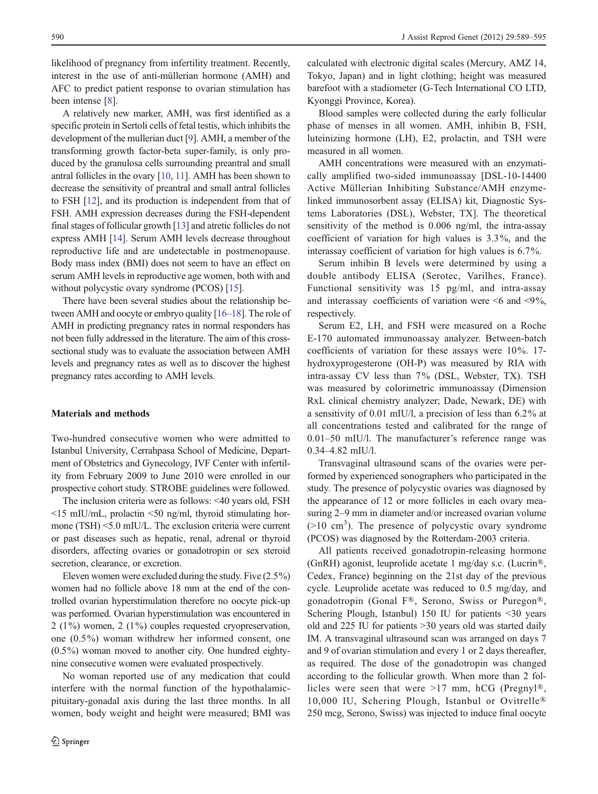likelihood of pregnancy from infertility treatment. Recently, interest in the use of anti-müllerian hormone (AMH) and AFC to predict patient response to ovarian stimulation has been intense [[8\]](#page-5-0).

A relatively new marker, AMH, was first identified as a specific protein in Sertoli cells of fetal testis, which inhibits the development of the mullerian duct [[9](#page-5-0)]. AMH, a member of the transforming growth factor-beta super-family, is only produced by the granulosa cells surrounding preantral and small antral follicles in the ovary [\[10,](#page-5-0) [11](#page-5-0)]. AMH has been shown to decrease the sensitivity of preantral and small antral follicles to FSH [\[12](#page-5-0)], and its production is independent from that of FSH. AMH expression decreases during the FSH-dependent final stages of follicular growth [\[13](#page-5-0)] and atretic follicles do not express AMH [\[14\]](#page-5-0). Serum AMH levels decrease throughout reproductive life and are undetectable in postmenopause. Body mass index (BMI) does not seem to have an effect on serum AMH levels in reproductive age women, both with and without polycystic ovary syndrome (PCOS) [[15\]](#page-5-0).

There have been several studies about the relationship between AMH and oocyte or embryo quality [\[16](#page-5-0)–[18](#page-5-0)]. The role of AMH in predicting pregnancy rates in normal responders has not been fully addressed in the literature. The aim of this crosssectional study was to evaluate the association between AMH levels and pregnancy rates as well as to discover the highest pregnancy rates according to AMH levels.

# Materials and methods

Two-hundred consecutive women who were admitted to Istanbul University, Cerrahpasa School of Medicine, Department of Obstetrics and Gynecology, IVF Center with infertility from February 2009 to June 2010 were enrolled in our prospective cohort study. STROBE guidelines were followed.

The inclusion criteria were as follows: <40 years old, FSH <15 mIU/mL, prolactin <50 ng/ml, thyroid stimulating hormone (TSH) <5.0 mIU/L. The exclusion criteria were current or past diseases such as hepatic, renal, adrenal or thyroid disorders, affecting ovaries or gonadotropin or sex steroid secretion, clearance, or excretion.

Eleven women were excluded during the study. Five (2.5%) women had no follicle above 18 mm at the end of the controlled ovarian hyperstimulation therefore no oocyte pick-up was performed. Ovarian hyperstimulation was encountered in 2 (1%) women, 2 (1%) couples requested cryopreservation, one (0.5%) woman withdrew her informed consent, one (0.5%) woman moved to another city. One hundred eightynine consecutive women were evaluated prospectively.

No woman reported use of any medication that could interfere with the normal function of the hypothalamicpituitary-gonadal axis during the last three months. In all women, body weight and height were measured; BMI was calculated with electronic digital scales (Mercury, AMZ 14, Tokyo, Japan) and in light clothing; height was measured barefoot with a stadiometer (G-Tech International CO LTD, Kyonggi Province, Korea).

Blood samples were collected during the early follicular phase of menses in all women. AMH, inhibin B, FSH, luteinizing hormone (LH), E2, prolactin, and TSH were measured in all women.

AMH concentrations were measured with an enzymatically amplified two-sided immunoassay [DSL-10-14400 Active Müllerian Inhibiting Substance/AMH enzymelinked immunosorbent assay (ELISA) kit, Diagnostic Systems Laboratories (DSL), Webster, TX]. The theoretical sensitivity of the method is 0.006 ng/ml, the intra-assay coefficient of variation for high values is 3.3%, and the interassay coefficient of variation for high values is 6.7%.

Serum inhibin B levels were determined by using a double antibody ELISA (Serotec, Varilhes, France). Functional sensitivity was 15 pg/ml, and intra-assay and interassay coefficients of variation were  $\leq 6$  and  $\leq 9\%$ , respectively.

Serum E2, LH, and FSH were measured on a Roche E-170 automated immunoassay analyzer. Between-batch coefficients of variation for these assays were 10%. 17 hydroxyprogesterone (OH-P) was measured by RIA with intra-assay CV less than 7% (DSL, Webster, TX). TSH was measured by colorimetric immunoassay (Dimension RxL clinical chemistry analyzer; Dade, Newark, DE) with a sensitivity of 0.01 mIU/l, a precision of less than 6.2% at all concentrations tested and calibrated for the range of 0.01–50 mIU/l. The manufacturer's reference range was 0.34–4.82 mIU/l.

Transvaginal ultrasound scans of the ovaries were performed by experienced sonographers who participated in the study. The presence of polycystic ovaries was diagnosed by the appearance of 12 or more follicles in each ovary measuring 2–9 mm in diameter and/or increased ovarian volume  $(>10 \text{ cm}^3)$ . The presence of polycystic ovary syndrome (PCOS) was diagnosed by the Rotterdam-2003 criteria.

All patients received gonadotropin-releasing hormone (GnRH) agonist, leuprolide acetate 1 mg/day s.c. (Lucrin®, Cedex, France) beginning on the 21st day of the previous cycle. Leuprolide acetate was reduced to 0.5 mg/day, and gonadotropin (Gonal F®, Serono, Swiss or Puregon®, Schering Plough, Istanbul) 150 IU for patients <30 years old and 225 IU for patients >30 years old was started daily IM. A transvaginal ultrasound scan was arranged on days 7 and 9 of ovarian stimulation and every 1 or 2 days thereafter, as required. The dose of the gonadotropin was changed according to the follicular growth. When more than 2 follicles were seen that were >17 mm, hCG (Pregnyl®, 10,000 IU, Schering Plough, Istanbul or Ovitrelle® 250 mcg, Serono, Swiss) was injected to induce final oocyte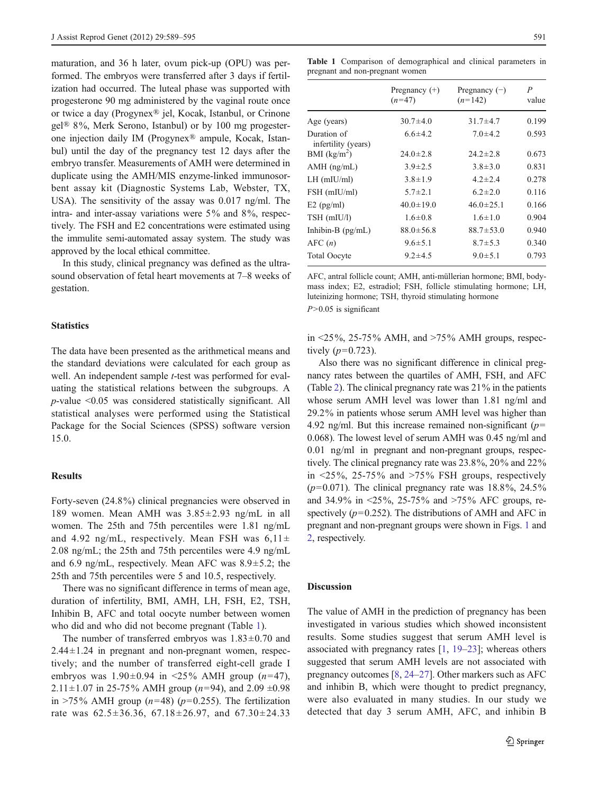maturation, and 36 h later, ovum pick-up (OPU) was performed. The embryos were transferred after 3 days if fertilization had occurred. The luteal phase was supported with progesterone 90 mg administered by the vaginal route once or twice a day (Progynex® jel, Kocak, Istanbul, or Crinone gel® 8%, Merk Serono, Istanbul) or by 100 mg progesterone injection daily IM (Progynex® ampule, Kocak, Istanbul) until the day of the pregnancy test 12 days after the embryo transfer. Measurements of AMH were determined in duplicate using the AMH/MIS enzyme-linked immunosorbent assay kit (Diagnostic Systems Lab, Webster, TX, USA). The sensitivity of the assay was 0.017 ng/ml. The intra- and inter-assay variations were 5% and 8%, respectively. The FSH and E2 concentrations were estimated using the immulite semi-automated assay system. The study was approved by the local ethical committee.

In this study, clinical pregnancy was defined as the ultrasound observation of fetal heart movements at 7–8 weeks of gestation.

# **Statistics**

The data have been presented as the arithmetical means and the standard deviations were calculated for each group as well. An independent sample *t*-test was performed for evaluating the statistical relations between the subgroups. A  $p$ -value  $\leq 0.05$  was considered statistically significant. All statistical analyses were performed using the Statistical Package for the Social Sciences (SPSS) software version 15.0.

#### **Results**

Forty-seven (24.8%) clinical pregnancies were observed in 189 women. Mean AMH was 3.85±2.93 ng/mL in all women. The 25th and 75th percentiles were 1.81 ng/mL and 4.92 ng/mL, respectively. Mean FSH was  $6.11 \pm$ 2.08 ng/mL; the 25th and 75th percentiles were 4.9 ng/mL and 6.9 ng/mL, respectively. Mean AFC was 8.9±5.2; the 25th and 75th percentiles were 5 and 10.5, respectively.

There was no significant difference in terms of mean age, duration of infertility, BMI, AMH, LH, FSH, E2, TSH, Inhibin B, AFC and total oocyte number between women who did and who did not become pregnant (Table 1).

The number of transferred embryos was  $1.83 \pm 0.70$  and  $2.44 \pm 1.24$  in pregnant and non-pregnant women, respectively; and the number of transferred eight-cell grade I embryos was  $1.90 \pm 0.94$  in <25% AMH group (n=47), 2.11 $\pm$ 1.07 in 25-75% AMH group (*n*=94), and 2.09  $\pm$ 0.98 in >75% AMH group  $(n=48)$  ( $p=0.255$ ). The fertilization rate was  $62.5 \pm 36.36$ ,  $67.18 \pm 26.97$ , and  $67.30 \pm 24.33$ 

Table 1 Comparison of demographical and clinical parameters in pregnant and non-pregnant women

|                                    | Pregnancy $(+)$<br>$(n=47)$ | Pregnancy $(-)$<br>$(n=142)$ | P<br>value |
|------------------------------------|-----------------------------|------------------------------|------------|
| Age (years)                        | $30.7 \pm 4.0$              | $31.7 \pm 4.7$               | 0.199      |
| Duration of<br>infertility (years) | $6.6 \pm 4.2$               | $7.0 \pm 4.2$                | 0.593      |
| BMI (kg/m <sup>2</sup> )           | $24.0 \pm 2.8$              | $24.2 \pm 2.8$               | 0.673      |
| $AMH$ (ng/mL)                      | $3.9 \pm 2.5$               | $3.8 \pm 3.0$                | 0.831      |
| $LH$ (mIU/ml)                      | $3.8 \pm 1.9$               | $4.2 \pm 2.4$                | 0.278      |
| FSH (mIU/ml)                       | $5.7 \pm 2.1$               | $6.2 \pm 2.0$                | 0.116      |
| $E2$ (pg/ml)                       | $40.0 \pm 19.0$             | $46.0 \pm 25.1$              | 0.166      |
| TSH (mIU/l)                        | $1.6 \pm 0.8$               | $1.6 \pm 1.0$                | 0.904      |
| Inhibin-B (pg/mL)                  | $88.0 \pm 56.8$             | $88.7 \pm 53.0$              | 0.940      |
| AFC(n)                             | $9.6 \pm 5.1$               | $8.7 \pm 5.3$                | 0.340      |
| <b>Total Oocyte</b>                | $9.2 \pm 4.5$               | $9.0 \pm 5.1$                | 0.793      |

AFC, antral follicle count; AMH, anti-müllerian hormone; BMI, bodymass index; E2, estradiol; FSH, follicle stimulating hormone; LH, luteinizing hormone; TSH, thyroid stimulating hormone  $P > 0.05$  is significant

in  $\leq$ 25%, 25-75% AMH, and  $\geq$ 75% AMH groups, respectively  $(p=0.723)$ .

Also there was no significant difference in clinical pregnancy rates between the quartiles of AMH, FSH, and AFC (Table [2\)](#page-3-0). The clinical pregnancy rate was 21% in the patients whose serum AMH level was lower than 1.81 ng/ml and 29.2% in patients whose serum AMH level was higher than 4.92 ng/ml. But this increase remained non-significant ( $p=$ 0.068). The lowest level of serum AMH was 0.45 ng/ml and 0.01 ng/ml in pregnant and non-pregnant groups, respectively. The clinical pregnancy rate was 23.8%, 20% and 22% in  $\leq$  25%, 25-75% and  $\geq$  75% FSH groups, respectively  $(p=0.071)$ . The clinical pregnancy rate was 18.8%, 24.5% and 34.9% in <25%, 25-75% and >75% AFC groups, respectively ( $p=0.252$ ). The distributions of AMH and AFC in pregnant and non-pregnant groups were shown in Figs. [1](#page-3-0) and [2](#page-3-0), respectively.

## Discussion

The value of AMH in the prediction of pregnancy has been investigated in various studies which showed inconsistent results. Some studies suggest that serum AMH level is associated with pregnancy rates [[1,](#page-5-0) [19](#page-5-0)–[23\]](#page-5-0); whereas others suggested that serum AMH levels are not associated with pregnancy outcomes [[8](#page-5-0), [24](#page-5-0)–[27\]](#page-6-0). Other markers such as AFC and inhibin B, which were thought to predict pregnancy, were also evaluated in many studies. In our study we detected that day 3 serum AMH, AFC, and inhibin B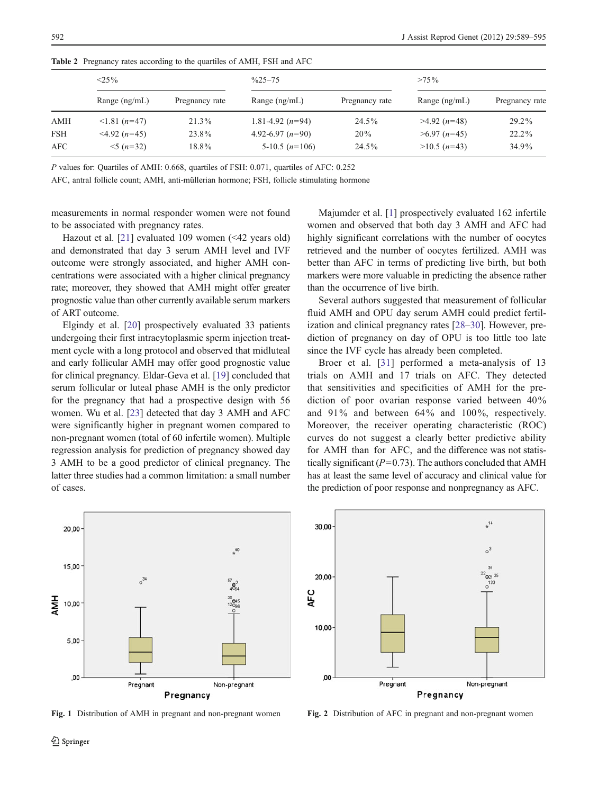|            | $<$ 25%                     |                | $\frac{0}{25}$ -75 |                | $>75\%$         |                |
|------------|-----------------------------|----------------|--------------------|----------------|-----------------|----------------|
|            | Range $(ng/mL)$             | Pregnancy rate | Range $(ng/mL)$    | Pregnancy rate | Range $(ng/mL)$ | Pregnancy rate |
| <b>AMH</b> | $\leq$ 1.81 ( <i>n</i> =47) | 21.3%          | 1.81-4.92 $(n=94)$ | $24.5\%$       | $>4.92$ (n=48)  | $29.2\%$       |
| <b>FSH</b> | $\leq$ 4.92 ( <i>n</i> =45) | 23.8%          | 4.92-6.97 $(n=90)$ | 20%            | $>6.97$ (n=45)  | $22.2\%$       |
| AFC        | $\leq 5 (n=32)$             | 18.8%          | 5-10.5 $(n=106)$   | 24.5%          | $>10.5$ (n=43)  | 34.9%          |

<span id="page-3-0"></span>Table 2 Pregnancy rates according to the quartiles of AMH, FSH and AFC

P values for: Quartiles of AMH: 0.668, quartiles of FSH: 0.071, quartiles of AFC: 0.252

AFC, antral follicle count; AMH, anti-müllerian hormone; FSH, follicle stimulating hormone

measurements in normal responder women were not found to be associated with pregnancy rates.

Hazout et al. [[21\]](#page-5-0) evaluated 109 women (<42 years old) and demonstrated that day 3 serum AMH level and IVF outcome were strongly associated, and higher AMH concentrations were associated with a higher clinical pregnancy rate; moreover, they showed that AMH might offer greater prognostic value than other currently available serum markers of ART outcome.

Elgindy et al. [[20\]](#page-5-0) prospectively evaluated 33 patients undergoing their first intracytoplasmic sperm injection treatment cycle with a long protocol and observed that midluteal and early follicular AMH may offer good prognostic value for clinical pregnancy. Eldar-Geva et al. [\[19](#page-5-0)] concluded that serum follicular or luteal phase AMH is the only predictor for the pregnancy that had a prospective design with 56 women. Wu et al. [[23\]](#page-5-0) detected that day 3 AMH and AFC were significantly higher in pregnant women compared to non-pregnant women (total of 60 infertile women). Multiple regression analysis for prediction of pregnancy showed day 3 AMH to be a good predictor of clinical pregnancy. The latter three studies had a common limitation: a small number of cases.

Majumder et al. [\[1](#page-5-0)] prospectively evaluated 162 infertile women and observed that both day 3 AMH and AFC had highly significant correlations with the number of oocytes retrieved and the number of oocytes fertilized. AMH was better than AFC in terms of predicting live birth, but both markers were more valuable in predicting the absence rather than the occurrence of live birth.

Several authors suggested that measurement of follicular fluid AMH and OPU day serum AMH could predict fertilization and clinical pregnancy rates [[28](#page-6-0)–[30\]](#page-6-0). However, prediction of pregnancy on day of OPU is too little too late since the IVF cycle has already been completed.

Broer et al. [\[31\]](#page-6-0) performed a meta-analysis of 13 trials on AMH and 17 trials on AFC. They detected that sensitivities and specificities of AMH for the prediction of poor ovarian response varied between 40% and 91% and between 64% and 100%, respectively. Moreover, the receiver operating characteristic (ROC) curves do not suggest a clearly better predictive ability for AMH than for AFC, and the difference was not statistically significant ( $P=0.73$ ). The authors concluded that AMH has at least the same level of accuracy and clinical value for the prediction of poor response and nonpregnancy as AFC.



Fig. 1 Distribution of AMH in pregnant and non-pregnant women Fig. 2 Distribution of AFC in pregnant and non-pregnant women

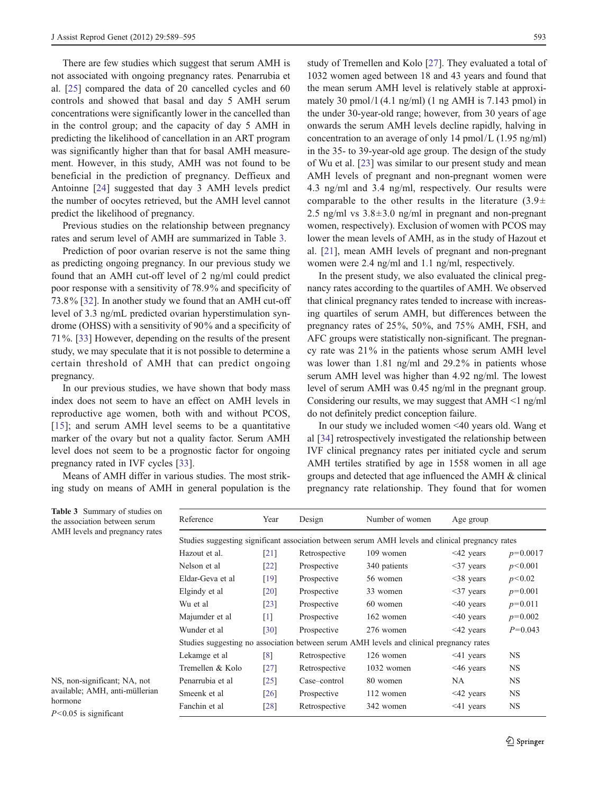There are few studies which suggest that serum AMH is not associated with ongoing pregnancy rates. Penarrubia et al. [[25\]](#page-5-0) compared the data of 20 cancelled cycles and 60 controls and showed that basal and day 5 AMH serum concentrations were significantly lower in the cancelled than in the control group; and the capacity of day 5 AMH in predicting the likelihood of cancellation in an ART program was significantly higher than that for basal AMH measurement. However, in this study, AMH was not found to be beneficial in the prediction of pregnancy. Deffieux and Antoinne [\[24](#page-5-0)] suggested that day 3 AMH levels predict the number of oocytes retrieved, but the AMH level cannot predict the likelihood of pregnancy.

Previous studies on the relationship between pregnancy rates and serum level of AMH are summarized in Table 3.

Prediction of poor ovarian reserve is not the same thing as predicting ongoing pregnancy. In our previous study we found that an AMH cut-off level of 2 ng/ml could predict poor response with a sensitivity of 78.9% and specificity of 73.8% [\[32](#page-6-0)]. In another study we found that an AMH cut-off level of 3.3 ng/mL predicted ovarian hyperstimulation syndrome (OHSS) with a sensitivity of 90% and a specificity of 71%. [\[33](#page-6-0)] However, depending on the results of the present study, we may speculate that it is not possible to determine a certain threshold of AMH that can predict ongoing pregnancy.

In our previous studies, we have shown that body mass index does not seem to have an effect on AMH levels in reproductive age women, both with and without PCOS, [\[15\]](#page-5-0); and serum AMH level seems to be a quantitative marker of the ovary but not a quality factor. Serum AMH level does not seem to be a prognostic factor for ongoing pregnancy rated in IVF cycles [\[33](#page-6-0)].

Means of AMH differ in various studies. The most striking study on means of AMH in general population is the study of Tremellen and Kolo [[27\]](#page-6-0). They evaluated a total of 1032 women aged between 18 and 43 years and found that the mean serum AMH level is relatively stable at approximately 30 pmol/l  $(4.1 \text{ ng/ml})$   $(1 \text{ ng AMH}$  is 7.143 pmol) in the under 30-year-old range; however, from 30 years of age onwards the serum AMH levels decline rapidly, halving in concentration to an average of only 14 pmol/L (1.95 ng/ml) in the 35- to 39-year-old age group. The design of the study of Wu et al. [\[23](#page-5-0)] was similar to our present study and mean AMH levels of pregnant and non-pregnant women were 4.3 ng/ml and 3.4 ng/ml, respectively. Our results were comparable to the other results in the literature  $(3.9\pm$ 2.5 ng/ml vs  $3.8 \pm 3.0$  ng/ml in pregnant and non-pregnant women, respectively). Exclusion of women with PCOS may lower the mean levels of AMH, as in the study of Hazout et al. [[21\]](#page-5-0), mean AMH levels of pregnant and non-pregnant women were 2.4 ng/ml and 1.1 ng/ml, respectively.

In the present study, we also evaluated the clinical pregnancy rates according to the quartiles of AMH. We observed that clinical pregnancy rates tended to increase with increasing quartiles of serum AMH, but differences between the pregnancy rates of 25%, 50%, and 75% AMH, FSH, and AFC groups were statistically non-significant. The pregnancy rate was 21% in the patients whose serum AMH level was lower than 1.81 ng/ml and 29.2% in patients whose serum AMH level was higher than 4.92 ng/ml. The lowest level of serum AMH was 0.45 ng/ml in the pregnant group. Considering our results, we may suggest that  $AMH \leq 1$  ng/ml do not definitely predict conception failure.

In our study we included women <40 years old. Wang et al [\[34](#page-6-0)] retrospectively investigated the relationship between IVF clinical pregnancy rates per initiated cycle and serum AMH tertiles stratified by age in 1558 women in all age groups and detected that age influenced the AMH & clinical pregnancy rate relationship. They found that for women

| Reference        | Year               | Design        | Number of women                                                                                  | Age group       |            |
|------------------|--------------------|---------------|--------------------------------------------------------------------------------------------------|-----------------|------------|
|                  |                    |               | Studies suggesting significant association between serum AMH levels and clinical pregnancy rates |                 |            |
| Hazout et al.    | [21]               | Retrospective | 109 women                                                                                        | $\leq$ 42 years | $p=0.0017$ |
| Nelson et al     | $\lceil 22 \rceil$ | Prospective   | 340 patients                                                                                     | $\leq$ 37 years | p<0.001    |
| Eldar-Geva et al | [19]               | Prospective   | 56 women                                                                                         | $\leq$ 38 years | p<0.02     |
| Elgindy et al    | $\lceil 20 \rceil$ | Prospective   | 33 women                                                                                         | $\leq$ 37 years | $p=0.001$  |
| Wu et al         | [23]               | Prospective   | 60 women                                                                                         | $\leq 40$ years | $p=0.011$  |
| Majumder et al   | $\lceil 1 \rceil$  | Prospective   | 162 women                                                                                        | $\leq 40$ years | $p=0.002$  |
| Wunder et al     | [30]               | Prospective   | 276 women                                                                                        | $\leq$ 42 years | $P=0.043$  |
|                  |                    |               | Studies suggesting no association between serum AMH levels and clinical pregnancy rates          |                 |            |
| Lekamge et al    | $\lceil 8 \rceil$  | Retrospective | 126 women                                                                                        | $\leq$ 41 years | NS.        |
| Tremellen & Kolo | [27]               | Retrospective | 1032 women                                                                                       | $<46$ years     | NS         |
| Penarrubia et al | [25]               | Case–control  | 80 women                                                                                         | NA.             | NS.        |
| Smeenk et al     | $\lceil 26 \rceil$ | Prospective   | 112 women                                                                                        | $<$ 42 years    | NS.        |
| Fanchin et al    | [28]               | Retrospective | 342 women                                                                                        | $\leq$ 41 years | NS         |

Table 3 Summary of studies on the association between serum AMH levels and pregnancy rates

NS, non-significant; NA, not available; AMH, anti-müllerian hormone

 $P<0.05$  is significant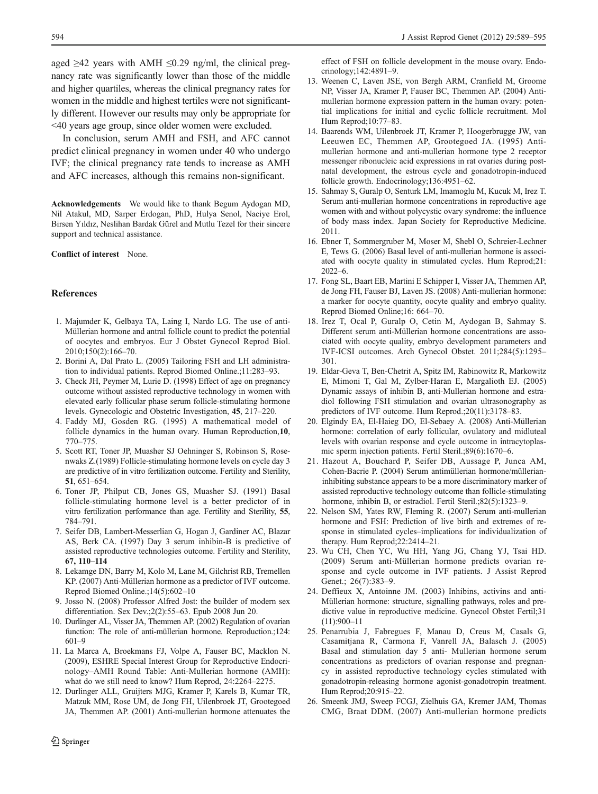<span id="page-5-0"></span>aged  $>42$  years with AMH  $\leq 0.29$  ng/ml, the clinical pregnancy rate was significantly lower than those of the middle and higher quartiles, whereas the clinical pregnancy rates for women in the middle and highest tertiles were not significantly different. However our results may only be appropriate for <40 years age group, since older women were excluded.

In conclusion, serum AMH and FSH, and AFC cannot predict clinical pregnancy in women under 40 who undergo IVF; the clinical pregnancy rate tends to increase as AMH and AFC increases, although this remains non-significant.

Acknowledgements We would like to thank Begum Aydogan MD, Nil Atakul, MD, Sarper Erdogan, PhD, Hulya Senol, Naciye Erol, Birsen Yıldız, Neslihan Bardak Gürel and Mutlu Tezel for their sincere support and technical assistance.

Conflict of interest None.

#### References

- 1. Majumder K, Gelbaya TA, Laing I, Nardo LG. The use of anti-Müllerian hormone and antral follicle count to predict the potential of oocytes and embryos. Eur J Obstet Gynecol Reprod Biol. 2010;150(2):166–70.
- 2. Borini A, Dal Prato L. (2005) Tailoring FSH and LH administration to individual patients. Reprod Biomed Online.;11:283–93.
- 3. Check JH, Peymer M, Lurie D. (1998) Effect of age on pregnancy outcome without assisted reproductive technology in women with elevated early follicular phase serum follicle-stimulating hormone levels. Gynecologic and Obstetric Investigation, 45, 217–220.
- 4. Faddy MJ, Gosden RG. (1995) A mathematical model of follicle dynamics in the human ovary. Human Reproduction,10, 770–775.
- 5. Scott RT, Toner JP, Muasher SJ Oehninger S, Robinson S, Rosenwaks Z.(1989) Follicle-stimulating hormone levels on cycle day 3 are predictive of in vitro fertilization outcome. Fertility and Sterility, 51, 651–654.
- 6. Toner JP, Philput CB, Jones GS, Muasher SJ. (1991) Basal follicle-stimulating hormone level is a better predictor of in vitro fertilization performance than age. Fertility and Sterility, 55, 784–791.
- 7. Seifer DB, Lambert-Messerlian G, Hogan J, Gardiner AC, Blazar AS, Berk CA. (1997) Day 3 serum inhibin-B is predictive of assisted reproductive technologies outcome. Fertility and Sterility, 67, 110–114
- 8. Lekamge DN, Barry M, Kolo M, Lane M, Gilchrist RB, Tremellen KP. (2007) Anti-Müllerian hormone as a predictor of IVF outcome. Reprod Biomed Online.;14(5):602–10
- 9. Josso N. (2008) Professor Alfred Jost: the builder of modern sex differentiation. Sex Dev.;2(2):55–63. Epub 2008 Jun 20.
- 10. Durlinger AL, Visser JA, Themmen AP. (2002) Regulation of ovarian function: The role of anti-müllerian hormone. Reproduction.;124: 601–9
- 11. La Marca A, Broekmans FJ, Volpe A, Fauser BC, Macklon N. (2009), ESHRE Special Interest Group for Reproductive Endocrinology–AMH Round Table: Anti-Mullerian hormone (AMH): what do we still need to know? Hum Reprod, 24:2264–2275.
- 12. Durlinger ALL, Gruijters MJG, Kramer P, Karels B, Kumar TR, Matzuk MM, Rose UM, de Jong FH, Uilenbroek JT, Grootegoed JA, Themmen AP. (2001) Anti-mullerian hormone attenuates the

effect of FSH on follicle development in the mouse ovary. Endocrinology;142:4891–9.

- 13. Weenen C, Laven JSE, von Bergh ARM, Cranfield M, Groome NP, Visser JA, Kramer P, Fauser BC, Themmen AP. (2004) Antimullerian hormone expression pattern in the human ovary: potential implications for initial and cyclic follicle recruitment. Mol Hum Reprod;10:77–83.
- 14. Baarends WM, Uilenbroek JT, Kramer P, Hoogerbrugge JW, van Leeuwen EC, Themmen AP, Grootegoed JA. (1995) Antimullerian hormone and anti-mullerian hormone type 2 receptor messenger ribonucleic acid expressions in rat ovaries during postnatal development, the estrous cycle and gonadotropin-induced follicle growth. Endocrinology;136:4951–62.
- 15. Sahmay S, Guralp O, Senturk LM, Imamoglu M, Kucuk M, Irez T. Serum anti-mullerian hormone concentrations in reproductive age women with and without polycystic ovary syndrome: the influence of body mass index. Japan Society for Reproductive Medicine. 2011.
- 16. Ebner T, Sommergruber M, Moser M, Shebl O, Schreier-Lechner E, Tews G. (2006) Basal level of anti-mullerian hormone is associated with oocyte quality in stimulated cycles. Hum Reprod;21: 2022–6.
- 17. Fong SL, Baart EB, Martini E Schipper I, Visser JA, Themmen AP, de Jong FH, Fauser BJ, Laven JS. (2008) Anti-mullerian hormone: a marker for oocyte quantity, oocyte quality and embryo quality. Reprod Biomed Online;16: 664–70.
- 18. Irez T, Ocal P, Guralp O, Cetin M, Aydogan B, Sahmay S. Different serum anti-Müllerian hormone concentrations are associated with oocyte quality, embryo development parameters and IVF-ICSI outcomes. Arch Gynecol Obstet. 2011;284(5):1295– 301.
- 19. Eldar-Geva T, Ben-Chetrit A, Spitz IM, Rabinowitz R, Markowitz E, Mimoni T, Gal M, Zylber-Haran E, Margalioth EJ. (2005) Dynamic assays of inhibin B, anti-Mullerian hormone and estradiol following FSH stimulation and ovarian ultrasonography as predictors of IVF outcome. Hum Reprod.;20(11):3178–83.
- 20. Elgindy EA, El-Haieg DO, El-Sebaey A. (2008) Anti-Müllerian hormone: correlation of early follicular, ovulatory and midluteal levels with ovarian response and cycle outcome in intracytoplasmic sperm injection patients. Fertil Steril.;89(6):1670–6.
- 21. Hazout A, Bouchard P, Seifer DB, Aussage P, Junca AM, Cohen-Bacrie P. (2004) Serum antimüllerian hormone/müllerianinhibiting substance appears to be a more discriminatory marker of assisted reproductive technology outcome than follicle-stimulating hormone, inhibin B, or estradiol. Fertil Steril.; 82(5): 1323-9.
- 22. Nelson SM, Yates RW, Fleming R. (2007) Serum anti-mullerian hormone and FSH: Prediction of live birth and extremes of response in stimulated cycles–implications for individualization of therapy. Hum Reprod;22:2414–21.
- 23. Wu CH, Chen YC, Wu HH, Yang JG, Chang YJ, Tsai HD. (2009) Serum anti-Müllerian hormone predicts ovarian response and cycle outcome in IVF patients. J Assist Reprod Genet.; 26(7):383-9.
- 24. Deffieux X, Antoinne JM. (2003) Inhibins, activins and anti-Müllerian hormone: structure, signalling pathways, roles and predictive value in reproductive medicine. Gynecol Obstet Fertil;31 (11):900–11
- 25. Penarrubia J, Fabregues F, Manau D, Creus M, Casals G, Casamitjana R, Carmona F, Vanrell JA, Balasch J. (2005) Basal and stimulation day 5 anti- Mullerian hormone serum concentrations as predictors of ovarian response and pregnancy in assisted reproductive technology cycles stimulated with gonadotropin-releasing hormone agonist-gonadotropin treatment. Hum Reprod;20:915–22.
- 26. Smeenk JMJ, Sweep FCGJ, Zielhuis GA, Kremer JAM, Thomas CMG, Braat DDM. (2007) Anti-mullerian hormone predicts